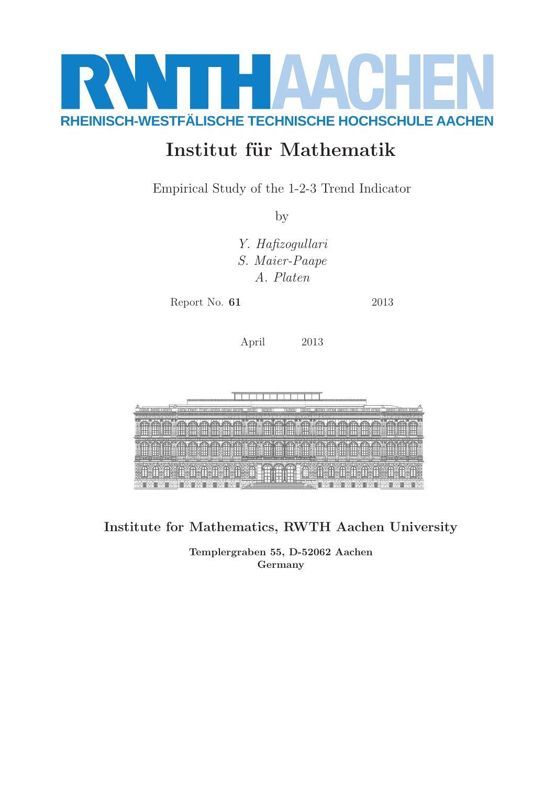

# Institut für Mathematik

Empirical Study of the 1-2-3 Trend Indicator

by

Y. Hafizogullari S. Maier-Paape A. Platen

Report No. **61** 2013

April 2013



Institute for Mathematics, RWTH Aachen University

Templergraben 55, D-52062 Aachen Germany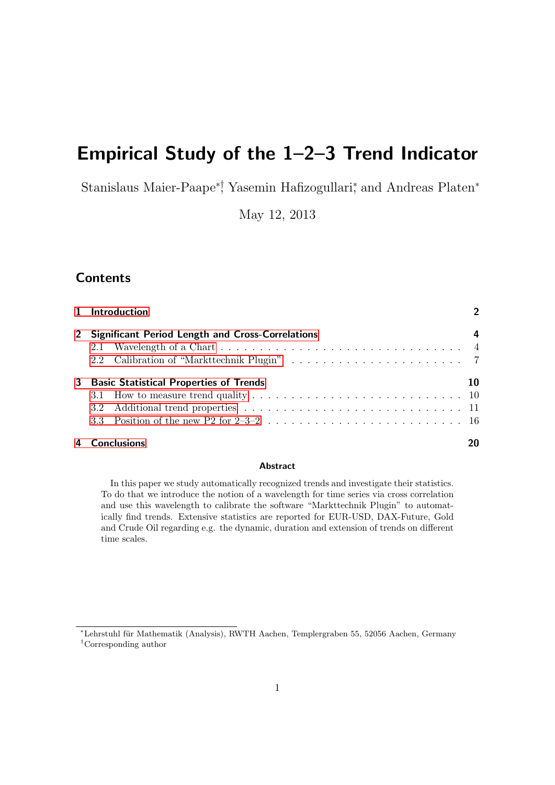# Empirical Study of the 1–2–3 Trend Indicator

Stanislaus Maier-Paape<sup>∗†</sup>, Yasemin Hafizogullari<sup>\*</sup>, and Andreas Platen<sup>\*</sup>

May 12, 2013

## **Contents**

|   | 1 Introduction                                     |    |  |  |  |  |  |
|---|----------------------------------------------------|----|--|--|--|--|--|
|   | 2 Significant Period Length and Cross-Correlations |    |  |  |  |  |  |
|   |                                                    |    |  |  |  |  |  |
|   |                                                    |    |  |  |  |  |  |
| 3 | <b>Basic Statistical Properties of Trends</b>      | 10 |  |  |  |  |  |
|   |                                                    |    |  |  |  |  |  |
|   |                                                    |    |  |  |  |  |  |
|   |                                                    |    |  |  |  |  |  |
|   | 4 Conclusions                                      | 20 |  |  |  |  |  |

#### Abstract

In this paper we study automatically recognized trends and investigate their statistics. To do that we introduce the notion of a wavelength for time series via cross correlation and use this wavelength to calibrate the software "Markttechnik Plugin" to automatically find trends. Extensive statistics are reported for EUR-USD, DAX-Future, Gold and Crude Oil regarding e.g. the dynamic, duration and extension of trends on different time scales.

<sup>∗</sup>Lehrstuhl f¨ur Mathematik (Analysis), RWTH Aachen, Templergraben 55, 52056 Aachen, Germany †Corresponding author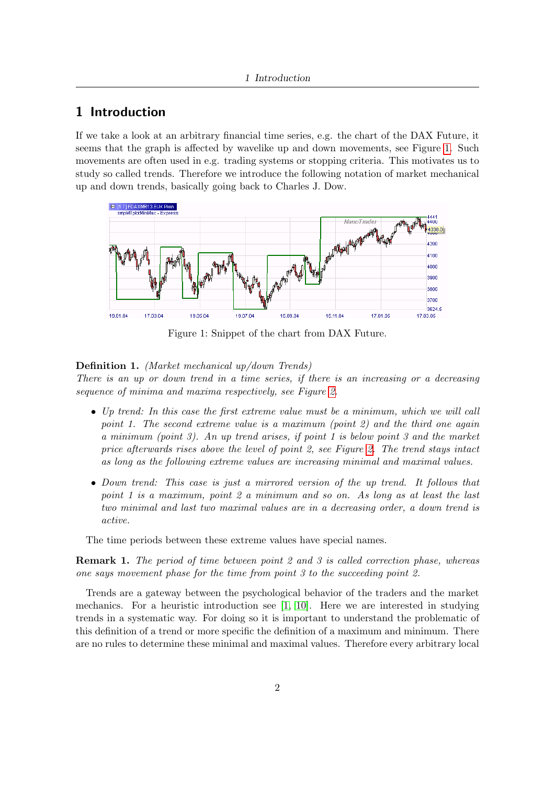## 1 Introduction

If we take a look at an arbitrary financial time series, e.g. the chart of the DAX Future, it seems that the graph is affected by wavelike up and down movements, see Figure [1.](#page--1-8) Such movements are often used in e.g. trading systems or stopping criteria. This motivates us to study so called trends. Therefore we introduce the following notation of market mechanical up and down trends, basically going back to Charles J. Dow.



Figure 1: Snippet of the chart from DAX Future.

#### Definition 1. (Market mechanical up/down Trends)

There is an up or down trend in a time series, if there is an increasing or a decreasing sequence of minima and maxima respectively, see Figure [2.](#page--1-9)

- Up trend: In this case the first extreme value must be a minimum, which we will call point 1. The second extreme value is a maximum (point 2) and the third one again a minimum (point 3). An up trend arises, if point 1 is below point 3 and the market price afterwards rises above the level of point 2, see Figure [2.](#page--1-9) The trend stays intact as long as the following extreme values are increasing minimal and maximal values.
- Down trend: This case is just a mirrored version of the up trend. It follows that point 1 is a maximum, point 2 a minimum and so on. As long as at least the last two minimal and last two maximal values are in a decreasing order, a down trend is active.

The time periods between these extreme values have special names.

**Remark 1.** The period of time between point 2 and 3 is called correction phase, whereas one says movement phase for the time from point 3 to the succeeding point 2.

Trends are a gateway between the psychological behavior of the traders and the market mechanics. For a heuristic introduction see [\[1,](#page--1-10) [10\]](#page--1-11). Here we are interested in studying trends in a systematic way. For doing so it is important to understand the problematic of this definition of a trend or more specific the definition of a maximum and minimum. There are no rules to determine these minimal and maximal values. Therefore every arbitrary local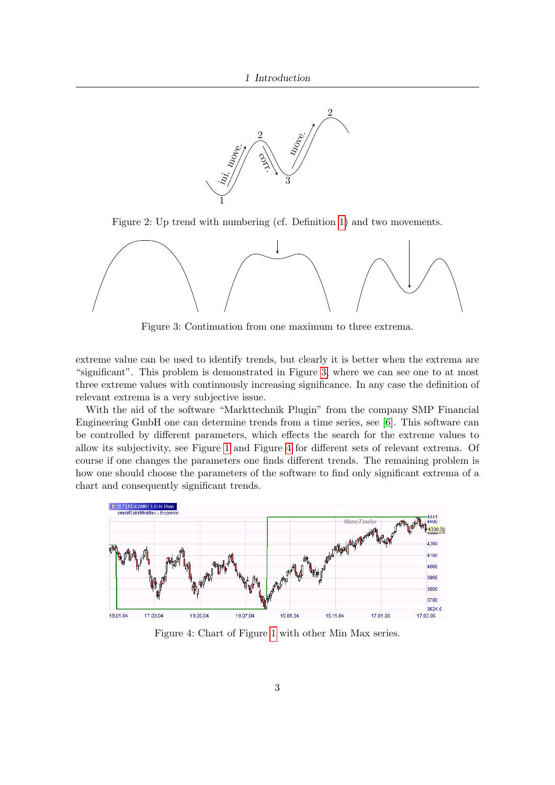

Figure 2: Up trend with numbering (cf. Definition [1\)](#page--1-12) and two movements.



Figure 3: Continuation from one maximum to three extrema.

extreme value can be used to identify trends, but clearly it is better when the extrema are "significant". This problem is demonstrated in Figure [3,](#page--1-13) where we can see one to at most three extreme values with continuously increasing significance. In any case the definition of relevant extrema is a very subjective issue.

With the aid of the software "Markttechnik Plugin" from the company SMP Financial Engineering GmbH one can determine trends from a time series, see [\[6\]](#page--1-14). This software can be controlled by different parameters, which effects the search for the extreme values to allow its subjectivity, see Figure [1](#page--1-8) and Figure [4](#page--1-15) for different sets of relevant extrema. Of course if one changes the parameters one finds different trends. The remaining problem is how one should choose the parameters of the software to find only significant extrema of a chart and consequently significant trends.



Figure 4: Chart of Figure [1](#page--1-8) with other Min Max series.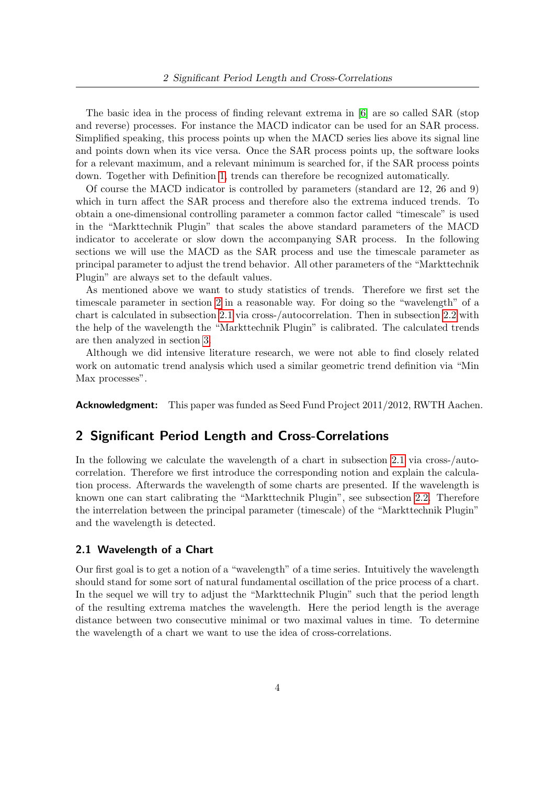The basic idea in the process of finding relevant extrema in [\[6\]](#page--1-14) are so called SAR (stop and reverse) processes. For instance the MACD indicator can be used for an SAR process. Simplified speaking, this process points up when the MACD series lies above its signal line and points down when its vice versa. Once the SAR process points up, the software looks for a relevant maximum, and a relevant minimum is searched for, if the SAR process points down. Together with Definition [1,](#page--1-12) trends can therefore be recognized automatically.

Of course the MACD indicator is controlled by parameters (standard are 12, 26 and 9) which in turn affect the SAR process and therefore also the extrema induced trends. To obtain a one-dimensional controlling parameter a common factor called "timescale" is used in the "Markttechnik Plugin" that scales the above standard parameters of the MACD indicator to accelerate or slow down the accompanying SAR process. In the following sections we will use the MACD as the SAR process and use the timescale parameter as principal parameter to adjust the trend behavior. All other parameters of the "Markttechnik Plugin" are always set to the default values.

As mentioned above we want to study statistics of trends. Therefore we first set the timescale parameter in section [2](#page--1-1) in a reasonable way. For doing so the "wavelength" of a chart is calculated in subsection [2.1](#page--1-2) via cross-/autocorrelation. Then in subsection [2.2](#page--1-3) with the help of the wavelength the "Markttechnik Plugin" is calibrated. The calculated trends are then analyzed in section [3.](#page--1-0)

Although we did intensive literature research, we were not able to find closely related work on automatic trend analysis which used a similar geometric trend definition via "Min Max processes".

**Acknowledgment:** This paper was funded as Seed Fund Project 2011/2012, RWTH Aachen.

## 2 Significant Period Length and Cross-Correlations

In the following we calculate the wavelength of a chart in subsection [2.1](#page--1-2) via cross-/autocorrelation. Therefore we first introduce the corresponding notion and explain the calculation process. Afterwards the wavelength of some charts are presented. If the wavelength is known one can start calibrating the "Markttechnik Plugin", see subsection [2.2.](#page--1-3) Therefore the interrelation between the principal parameter (timescale) of the "Markttechnik Plugin" and the wavelength is detected.

### 2.1 Wavelength of a Chart

Our first goal is to get a notion of a "wavelength" of a time series. Intuitively the wavelength should stand for some sort of natural fundamental oscillation of the price process of a chart. In the sequel we will try to adjust the "Markttechnik Plugin" such that the period length of the resulting extrema matches the wavelength. Here the period length is the average distance between two consecutive minimal or two maximal values in time. To determine the wavelength of a chart we want to use the idea of cross-correlations.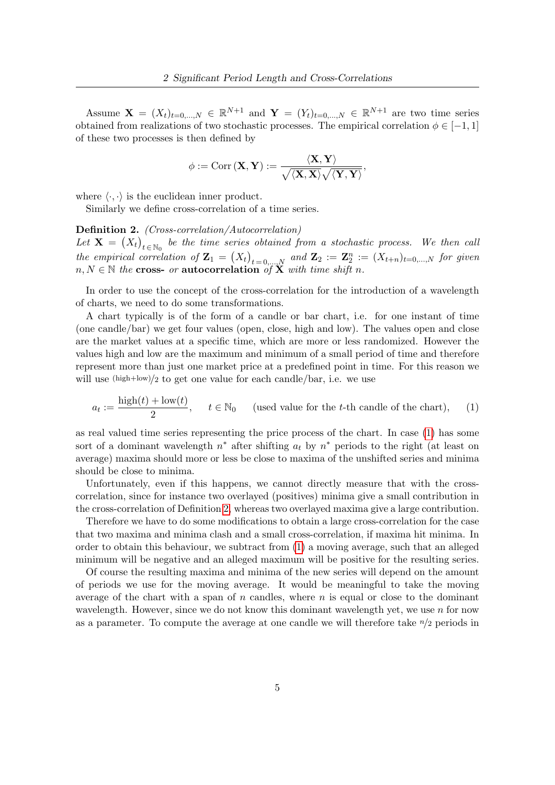Assume  $\mathbf{X} = (X_t)_{t=0,\dots,N} \in \mathbb{R}^{N+1}$  and  $\mathbf{Y} = (Y_t)_{t=0,\dots,N} \in \mathbb{R}^{N+1}$  are two time series obtained from realizations of two stochastic processes. The empirical correlation  $\phi \in [-1, 1]$ of these two processes is then defined by

$$
\phi:=\mathrm{Corr}\left(\mathbf{X}, \mathbf{Y}\right):=\frac{\langle\mathbf{X}, \mathbf{Y}\rangle}{\sqrt{\langle\mathbf{X}, \mathbf{X}\rangle}\sqrt{\langle\mathbf{Y}, \mathbf{Y}\rangle}},
$$

where  $\langle \cdot, \cdot \rangle$  is the euclidean inner product.

Similarly we define cross-correlation of a time series.

Definition 2. (Cross-correlation/Autocorrelation) Let  $\mathbf{X} = (X_t)_{t \in \mathbb{N}_0}$  be the time series obtained from a stochastic process. We then call the empirical correlation of  $\mathbf{Z}_1 = (X_t)_{t=0,...,N}$  and  $\mathbf{Z}_2 := \mathbf{Z}_2^n := (X_{t+n})_{t=0,...,N}$  for given  $n, N \in \mathbb{N}$  the cross- or autocorrelation of  $\overline{X}$  with time shift n.

In order to use the concept of the cross-correlation for the introduction of a wavelength of charts, we need to do some transformations.

A chart typically is of the form of a candle or bar chart, i.e. for one instant of time (one candle/bar) we get four values (open, close, high and low). The values open and close are the market values at a specific time, which are more or less randomized. However the values high and low are the maximum and minimum of a small period of time and therefore represent more than just one market price at a predefined point in time. For this reason we will use  $(high+low)/2$  to get one value for each candle/bar, i.e. we use

$$
a_t := \frac{\text{high}(t) + \text{low}(t)}{2}, \quad t \in \mathbb{N}_0 \quad \text{(used value for the } t\text{-th candle of the chart)}, \quad (1)
$$

as real valued time series representing the price process of the chart. In case [\(1\)](#page--1-16) has some sort of a dominant wavelength  $n^*$  after shifting  $a_t$  by  $n^*$  periods to the right (at least on average) maxima should more or less be close to maxima of the unshifted series and minima should be close to minima.

Unfortunately, even if this happens, we cannot directly measure that with the crosscorrelation, since for instance two overlayed (positives) minima give a small contribution in the cross-correlation of Definition [2,](#page--1-17) whereas two overlayed maxima give a large contribution.

Therefore we have to do some modifications to obtain a large cross-correlation for the case that two maxima and minima clash and a small cross-correlation, if maxima hit minima. In order to obtain this behaviour, we subtract from [\(1\)](#page--1-16) a moving average, such that an alleged minimum will be negative and an alleged maximum will be positive for the resulting series.

Of course the resulting maxima and minima of the new series will depend on the amount of periods we use for the moving average. It would be meaningful to take the moving average of the chart with a span of  $n$  candles, where  $n$  is equal or close to the dominant wavelength. However, since we do not know this dominant wavelength yet, we use  $n$  for now as a parameter. To compute the average at one candle we will therefore take  $n/2$  periods in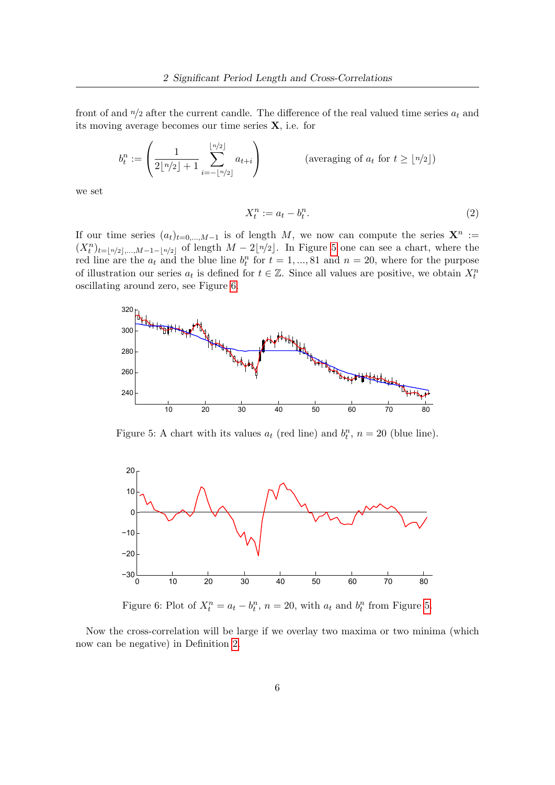front of and  $n/2$  after the current candle. The difference of the real valued time series  $a_t$  and its moving average becomes our time series  $X$ , i.e. for

$$
b_t^n := \left(\frac{1}{2\lfloor n/2 \rfloor + 1} \sum_{i=-\lfloor n/2 \rfloor}^{\lfloor n/2 \rfloor} a_{t+i}\right) \qquad \qquad \text{(averaging of } a_t \text{ for } t \geq \lfloor n/2 \rfloor)
$$

we set

$$
X_t^n := a_t - b_t^n. \tag{2}
$$

If our time series  $(a_t)_{t=0,\dots,M-1}$  is of length M, we now can compute the series  $\mathbf{X}^n :=$  $(X_t^n)_{t=[n/2],...,M-1-\lfloor n/2\rfloor}$  of length  $M-2\lfloor n/2\rfloor$ . In Figure [5](#page--1-18) one can see a chart, where the red line are the  $a_t$  and the blue line  $b_t^n$  for  $t = 1, ..., 81$  and  $n = 20$ , where for the purpose of illustration our series  $a_t$  is defined for  $t \in \mathbb{Z}$ . Since all values are positive, we obtain  $X_t^n$ oscillating around zero, see Figure [6.](#page--1-19)



Figure 5: A chart with its values  $a_t$  (red line) and  $b_t^n$ ,  $n = 20$  (blue line).



Figure 6: Plot of  $X_t^n = a_t - b_t^n$ ,  $n = 20$ , with  $a_t$  and  $b_t^n$  from Figure [5.](#page--1-18)

Now the cross-correlation will be large if we overlay two maxima or two minima (which now can be negative) in Definition [2.](#page--1-17)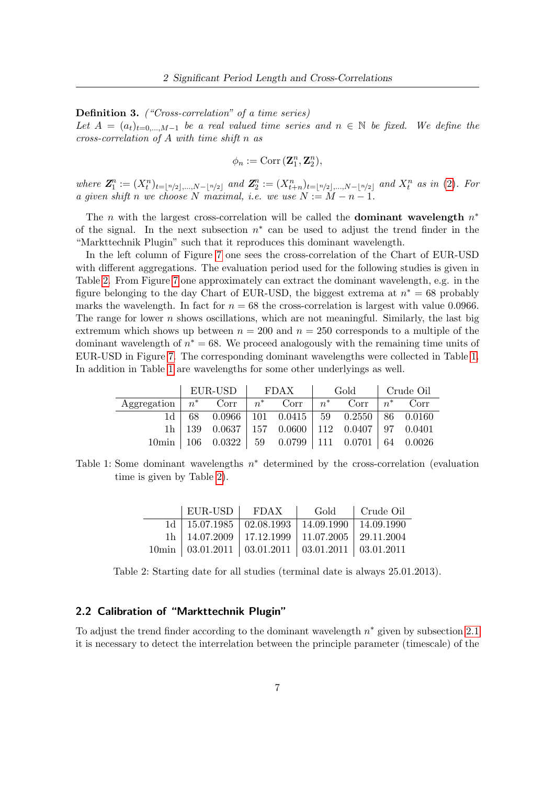Definition 3. ("Cross-correlation" of a time series)

Let  $A = (a_t)_{t=0,...,M-1}$  be a real valued time series and  $n \in \mathbb{N}$  be fixed. We define the cross-correlation of A with time shift n as

$$
\phi_n := \text{Corr}\left(\mathbf{Z}_1^n, \mathbf{Z}_2^n\right),
$$

where  $\mathbf{Z}_1^n := (X_t^n)_{t=\lfloor n/2 \rfloor, ..., N-\lfloor n/2 \rfloor}$  and  $\mathbf{Z}_2^n := (X_{t+n}^n)_{t=\lfloor n/2 \rfloor, ..., N-\lfloor n/2 \rfloor}$  and  $X_t^n$  as in [\(2\)](#page--1-20). For a given shift n we choose N maximal, i.e. we use  $N := M - n - 1$ .

The *n* with the largest cross-correlation will be called the **dominant wavelength**  $n^*$ of the signal. In the next subsection  $n^*$  can be used to adjust the trend finder in the "Markttechnik Plugin" such that it reproduces this dominant wavelength.

In the left column of Figure 7 one sees the cross-correlation of the Chart of EUR-USD with different aggregations. The evaluation period used for the following studies is given in Table [2.](#page--1-21) From Figure 7 one approximately can extract the dominant wavelength, e.g. in the figure belonging to the day Chart of EUR-USD, the biggest extrema at  $n^* = 68$  probably marks the wavelength. In fact for  $n = 68$  the cross-correlation is largest with value 0.0966. The range for lower  $n$  shows oscillations, which are not meaningful. Similarly, the last big extremum which shows up between  $n = 200$  and  $n = 250$  corresponds to a multiple of the dominant wavelength of  $n^* = 68$ . We proceed analogously with the remaining time units of EUR-USD in Figure 7. The corresponding dominant wavelengths were collected in Table [1.](#page--1-22) In addition in Table [1](#page--1-22) are wavelengths for some other underlyings as well.

|                                                                    |  | EUR-USD FDAX Gold Crude Oil |                                                                                       |  |  |  |  |
|--------------------------------------------------------------------|--|-----------------------------|---------------------------------------------------------------------------------------|--|--|--|--|
| Aggregation $n^*$ Corr $n^*$ Corr $n^*$ Corr $n^*$ Corr $n^*$ Corr |  |                             |                                                                                       |  |  |  |  |
|                                                                    |  |                             | $1d \mid 68 \mid 0.0966 \mid 101 \mid 0.0415 \mid 59 \mid 0.2550 \mid 86 \mid 0.0160$ |  |  |  |  |
|                                                                    |  |                             | 1h   139 $\,$ 0.0637   157 $\,$ 0.0600   112 $\,$ 0.0407   97 $\,$ 0.0401             |  |  |  |  |
|                                                                    |  |                             | $10\text{min}$   106  0.0322   59  0.0799   111  0.0701   64  0.0026                  |  |  |  |  |

Table 1: Some dominant wavelengths  $n^*$  determined by the cross-correlation (evaluation time is given by Table [2\)](#page--1-21).

| $EUR$ -USD FDAX                                                      | Gold   Crude Oil |  |
|----------------------------------------------------------------------|------------------|--|
| $1d \mid 15.07.1985 \mid 02.08.1993 \mid 14.09.1990 \mid 14.09.1990$ |                  |  |
| 1h   14.07.2009   17.12.1999   11.07.2005   29.11.2004               |                  |  |
| $10\text{min}$   03.01.2011   03.01.2011   03.01.2011   03.01.2011   |                  |  |

Table 2: Starting date for all studies (terminal date is always 25.01.2013).

## 2.2 Calibration of "Markttechnik Plugin"

To adjust the trend finder according to the dominant wavelength  $n^*$  given by subsection [2.1](#page--1-2) it is necessary to detect the interrelation between the principle parameter (timescale) of the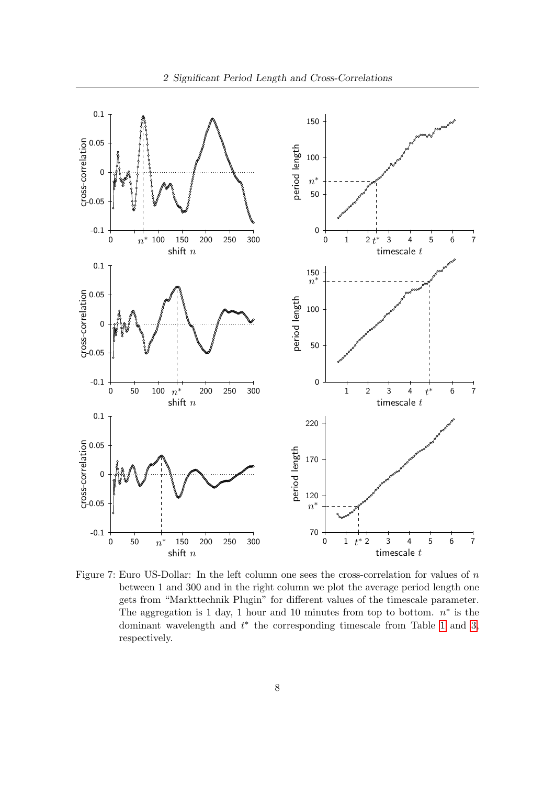

Figure 7: Euro US-Dollar: In the left column one sees the cross-correlation for values of n between 1 and 300 and in the right column we plot the average period length one gets from "Markttechnik Plugin" for different values of the timescale parameter. The aggregation is 1 day, 1 hour and 10 minutes from top to bottom.  $n^*$  is the dominant wavelength and  $t^*$  the corresponding timescale from Table [1](#page--1-22) and 3, respectively.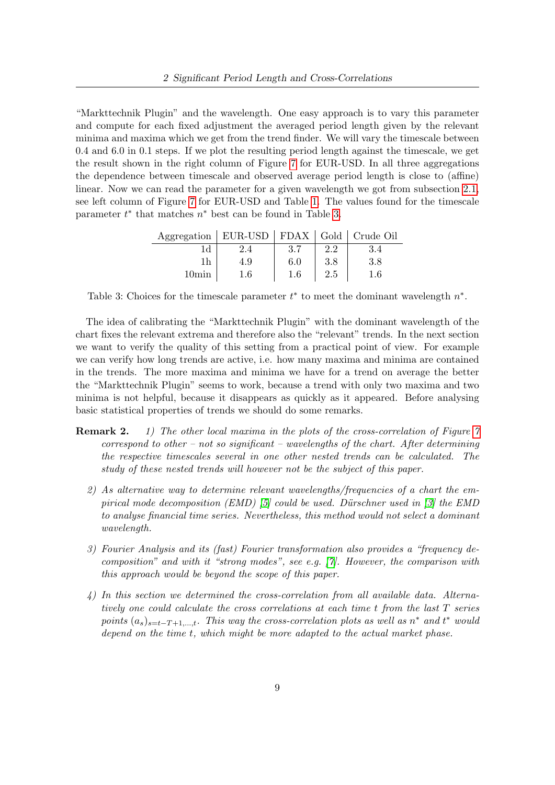"Markttechnik Plugin" and the wavelength. One easy approach is to vary this parameter and compute for each fixed adjustment the averaged period length given by the relevant minima and maxima which we get from the trend finder. We will vary the timescale between 0.4 and 6.0 in 0.1 steps. If we plot the resulting period length against the timescale, we get the result shown in the right column of Figure 7 for EUR-USD. In all three aggregations the dependence between timescale and observed average period length is close to (affine) linear. Now we can read the parameter for a given wavelength we got from subsection [2.1,](#page--1-2) see left column of Figure 7 for EUR-USD and Table [1.](#page--1-22) The values found for the timescale parameter  $t^*$  that matches  $n^*$  best can be found in Table 3.

| Aggregation   EUR-USD   FDAX   Gold   Crude Oil |     |     |         |         |
|-------------------------------------------------|-----|-----|---------|---------|
| 1d                                              |     |     | 2.2     | 3.4     |
|                                                 | 4.9 | 6.0 | $3.8\,$ | $3.8\,$ |
| 10min                                           | 1.6 | 1.6 | $2.5\,$ | 1.6     |

Table 3: Choices for the timescale parameter  $t^*$  to meet the dominant wavelength  $n^*$ .

The idea of calibrating the "Markttechnik Plugin" with the dominant wavelength of the chart fixes the relevant extrema and therefore also the "relevant" trends. In the next section we want to verify the quality of this setting from a practical point of view. For example we can verify how long trends are active, i.e. how many maxima and minima are contained in the trends. The more maxima and minima we have for a trend on average the better the "Markttechnik Plugin" seems to work, because a trend with only two maxima and two minima is not helpful, because it disappears as quickly as it appeared. Before analysing basic statistical properties of trends we should do some remarks.

- **Remark 2.** 1) The other local maxima in the plots of the cross-correlation of Figure  $\gamma$ correspond to other – not so significant – wavelengths of the chart. After determining the respective timescales several in one other nested trends can be calculated. The study of these nested trends will however not be the subject of this paper.
	- 2) As alternative way to determine relevant wavelengths/frequencies of a chart the em-pirical mode decomposition (EMD) [\[5\]](#page--1-23) could be used. Dürschner used in [\[3\]](#page--1-24) the EMD to analyse financial time series. Nevertheless, this method would not select a dominant wavelength.
	- 3) Fourier Analysis and its (fast) Fourier transformation also provides a "frequency decomposition" and with it "strong modes", see e.g. [\[7\]](#page--1-25). However, the comparison with this approach would be beyond the scope of this paper.
	- 4) In this section we determined the cross-correlation from all available data. Alternatively one could calculate the cross correlations at each time t from the last T series points  $(a_s)_{s=t-T+1,\dots,t}$ . This way the cross-correlation plots as well as  $n^*$  and  $t^*$  would depend on the time t, which might be more adapted to the actual market phase.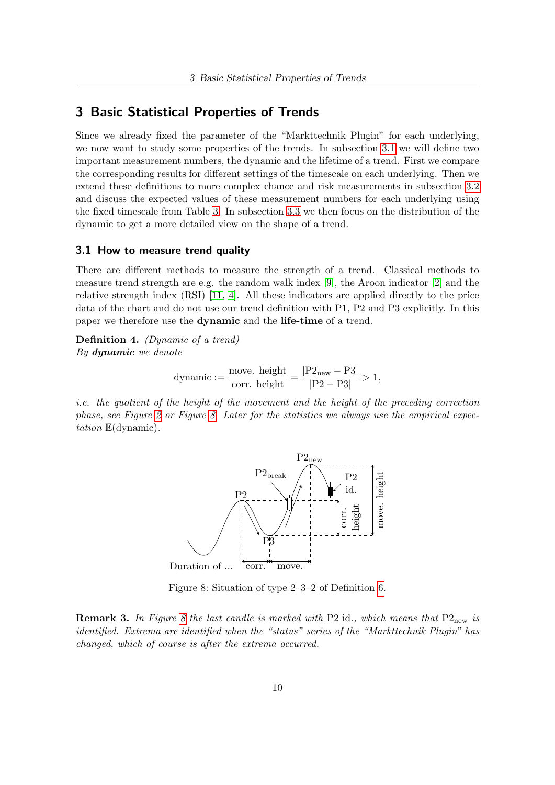## 3 Basic Statistical Properties of Trends

Since we already fixed the parameter of the "Markttechnik Plugin" for each underlying, we now want to study some properties of the trends. In subsection [3.1](#page--1-4) we will define two important measurement numbers, the dynamic and the lifetime of a trend. First we compare the corresponding results for different settings of the timescale on each underlying. Then we extend these definitions to more complex chance and risk measurements in subsection [3.2](#page--1-5) and discuss the expected values of these measurement numbers for each underlying using the fixed timescale from Table 3. In subsection [3.3](#page--1-6) we then focus on the distribution of the dynamic to get a more detailed view on the shape of a trend.

#### 3.1 How to measure trend quality

There are different methods to measure the strength of a trend. Classical methods to measure trend strength are e.g. the random walk index [\[9\]](#page--1-26), the Aroon indicator [\[2\]](#page--1-27) and the relative strength index (RSI) [\[11,](#page--1-28) [4\]](#page--1-29). All these indicators are applied directly to the price data of the chart and do not use our trend definition with P1, P2 and P3 explicitly. In this paper we therefore use the dynamic and the life-time of a trend.

Definition 4. (Dynamic of a trend) By dynamic we denote

dynamic := 
$$
\frac{\text{move. height}}{\text{corr. height}}
$$
 =  $\frac{|P2_{\text{new}} - P3|}{|P2 - P3|} > 1$ ,

i.e. the quotient of the height of the movement and the height of the preceding correction phase, see Figure [2](#page--1-9) or Figure [8.](#page--1-30) Later for the statistics we always use the empirical expectation E(dynamic).



Figure 8: Situation of type 2–3–2 of Definition [6.](#page--1-31)

**Remark 3.** In Figure [8](#page--1-30) the last candle is marked with P2 id., which means that  $P2_{new}$  is identified. Extrema are identified when the "status" series of the "Markttechnik Plugin" has changed, which of course is after the extrema occurred.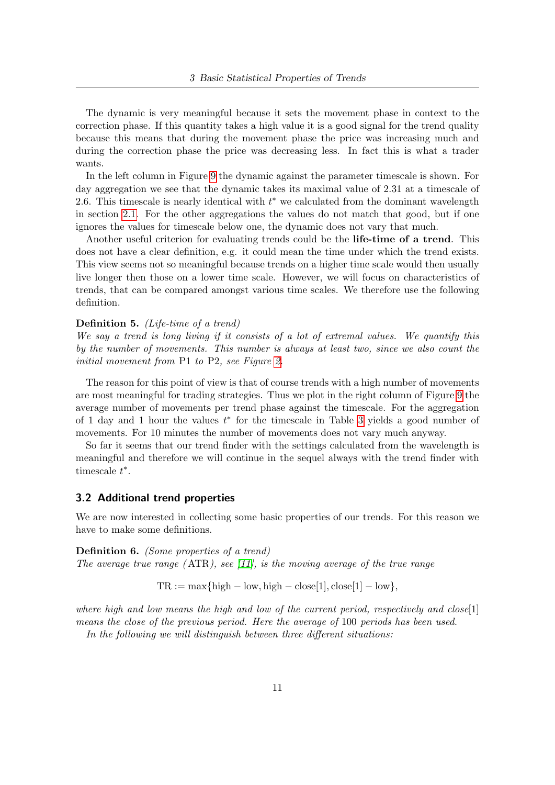The dynamic is very meaningful because it sets the movement phase in context to the correction phase. If this quantity takes a high value it is a good signal for the trend quality because this means that during the movement phase the price was increasing much and during the correction phase the price was decreasing less. In fact this is what a trader wants.

In the left column in Figure [9](#page--1-32) the dynamic against the parameter timescale is shown. For day aggregation we see that the dynamic takes its maximal value of 2.31 at a timescale of 2.6. This timescale is nearly identical with  $t^*$  we calculated from the dominant wavelength in section [2.1.](#page--1-2) For the other aggregations the values do not match that good, but if one ignores the values for timescale below one, the dynamic does not vary that much.

Another useful criterion for evaluating trends could be the life-time of a trend. This does not have a clear definition, e.g. it could mean the time under which the trend exists. This view seems not so meaningful because trends on a higher time scale would then usually live longer then those on a lower time scale. However, we will focus on characteristics of trends, that can be compared amongst various time scales. We therefore use the following definition.

#### Definition 5. (Life-time of a trend)

We say a trend is long living if it consists of a lot of extremal values. We quantify this by the number of movements. This number is always at least two, since we also count the initial movement from P1 to P2, see Figure [2.](#page--1-9)

The reason for this point of view is that of course trends with a high number of movements are most meaningful for trading strategies. Thus we plot in the right column of Figure [9](#page--1-32) the average number of movements per trend phase against the timescale. For the aggregation of 1 day and 1 hour the values  $t^*$  for the timescale in Table 3 yields a good number of movements. For 10 minutes the number of movements does not vary much anyway.

So far it seems that our trend finder with the settings calculated from the wavelength is meaningful and therefore we will continue in the sequel always with the trend finder with timescale  $t^*$ .

#### 3.2 Additional trend properties

We are now interested in collecting some basic properties of our trends. For this reason we have to make some definitions.

Definition 6. (Some properties of a trend) The average true range  $(ATR)$ , see [\[11\]](#page--1-28), is the moving average of the true range

 $TR := \max\{\text{high} - \text{low}, \text{high} - \text{close}[1], \text{close}[1] - \text{low}\},\$ 

where high and low means the high and low of the current period, respectively and close  $[1]$ means the close of the previous period. Here the average of 100 periods has been used.

In the following we will distinguish between three different situations: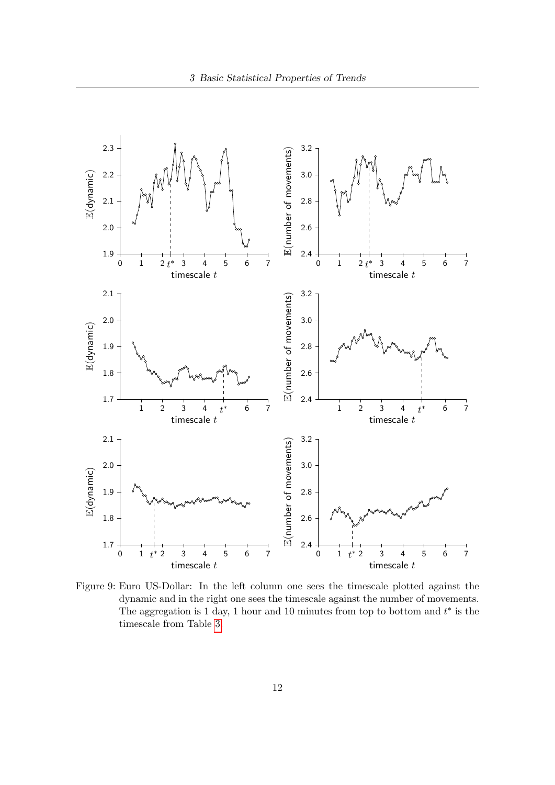

Figure 9: Euro US-Dollar: In the left column one sees the timescale plotted against the dynamic and in the right one sees the timescale against the number of movements. The aggregation is 1 day, 1 hour and 10 minutes from top to bottom and  $t^*$  is the timescale from Table 3.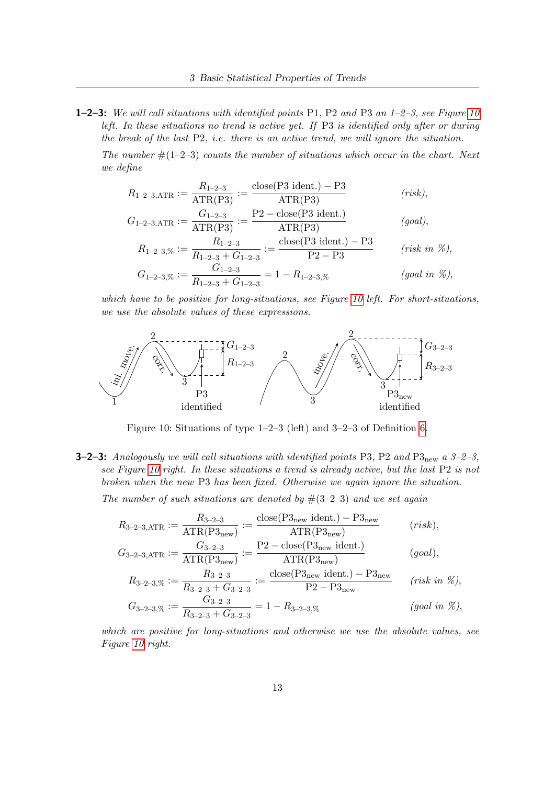**1–2–3:** We will call situations with identified points P1, P2 and P3 an  $1-2-3$ , see Figure 10 left. In these situations no trend is active yet. If P3 is identified only after or during the break of the last P2, i.e. there is an active trend, we will ignore the situation.

The number  $\#(1-2-3)$  counts the number of situations which occur in the chart. Next we define

$$
R_{1-2-3, \text{ATR}} := \frac{R_{1-2-3}}{\text{ATR}(\text{P3})} := \frac{\text{close}(\text{P3 ident.}) - \text{P3}}{\text{ATR}(\text{P3})}
$$
 (risk),

$$
G_{1-2-3, \text{ATR}} := \frac{G_{1-2-3}}{\text{ATR}(\text{P3})} := \frac{\text{P2} - \text{close}(\text{P3 ident.})}{\text{ATR}(\text{P3})} \qquad (goal),
$$
  
\n
$$
R_{1-2-3, \%} := \frac{R_{1-2-3}}{R_{1-2-3} + G_{1-2-3}} := \frac{\text{close}(\text{P3 ident.}) - \text{P3}}{\text{P2} - \text{P3}} \qquad (risk in \%)
$$
  
\n
$$
G_{1-2-3, \%} := \frac{G_{1-2-3}}{R_{1-2-3} + G_{1-2-3}} = 1 - R_{1-2-3, \%} \qquad (goal in \%)
$$

which have to be positive for long-situations, see Figure 10 left. For short-situations, we use the absolute values of these expressions.



Figure 10: Situations of type 1–2–3 (left) and 3–2–3 of Definition [6.](#page--1-31)

**3–2–3:** Analogously we will call situations with identified points P3, P2 and P3<sub>new</sub> a 3–2–3, see Figure 10 right. In these situations a trend is already active, but the last P2 is not broken when the new P3 has been fixed. Otherwise we again ignore the situation.

The number of such situations are denoted by  $\#(3-2-3)$  and we set again

$$
R_{3-2-3, \text{ATR}} := \frac{R_{3-2-3}}{\text{ATR}(P_{3\text{new}})} := \frac{\text{close}(P_{3\text{new}} \cdot \text{ident.}) - P_{3\text{new}}}{\text{ATR}(P_{3\text{new}})} \qquad (risk),
$$
  
\n
$$
G_{3-2-3, \text{ATR}} := \frac{G_{3-2-3}}{\text{ATR}(P_{3\text{new}})} := \frac{P_2 - \text{close}(P_{3\text{new}} \cdot \text{ident.})}{\text{ATR}(P_{3\text{new}})} \qquad (goal),
$$
  
\n
$$
R_{3-2-3, \%} := \frac{R_{3-2-3}}{R_{3-2-3} + G_{3-2-3}} := \frac{\text{close}(P_{3\text{new}} \cdot \text{ident.}) - P_{3\text{new}}}{P_2 - P_{3\text{new}}} \qquad (risk \text{ in } \%)
$$
  
\n
$$
G_{3-2-3, \%} := \frac{G_{3-2-3}}{R_{3-2-3} + G_{3-2-3}} = 1 - R_{3-2-3, \%} \qquad (goal \text{ in } \%)
$$

which are positive for long-situations and otherwise we use the absolute values, see Figure 10 right.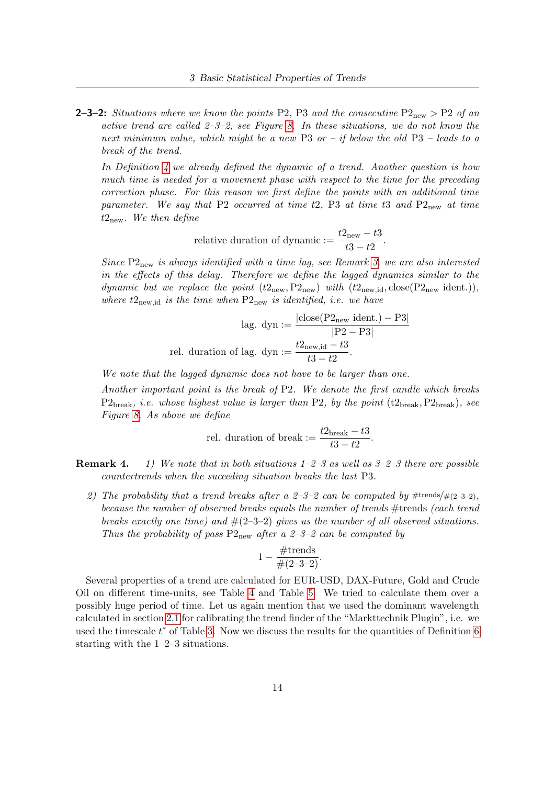**2–3–2:** Situations where we know the points P2, P3 and the consecutive  $P2_{new} > P2$  of an active trend are called  $2-3-2$ , see Figure [8.](#page--1-30) In these situations, we do not know the next minimum value, which might be a new P3 or – if below the old P3 – leads to a break of the trend.

In Definition [4](#page--1-33) we already defined the dynamic of a trend. Another question is how much time is needed for a movement phase with respect to the time for the preceding correction phase. For this reason we first define the points with an additional time parameter. We say that P2 occurred at time t2, P3 at time t3 and  $P2_{new}$  at time  $t_{\text{new}}$ . We then define

relative duration of dynamic :=  $\frac{t2_{\text{new}} - t3}{t3 - t2}$ .

Since  $P2_{\text{new}}$  is always identified with a time lag, see Remark [3,](#page--1-34) we are also interested in the effects of this delay. Therefore we define the lagged dynamics similar to the dynamic but we replace the point  $(t2_{\text{new}},P2_{\text{new}})$  with  $(t2_{\text{new},id}, \text{close}(P2_{\text{new}})$  ident.)), where  $t2_{\text{new},id}$  is the time when  $P2_{\text{new}}$  is identified, i.e. we have

$$
lag. \, dyn := \frac{|close(P2_{new} \, ident.) - P3|}{|P2 - P3|}
$$
  
rel. duration of lag. 
$$
dyn := \frac{t2_{new, id} - t3}{t3 - t2}.
$$

We note that the lagged dynamic does not have to be larger than one.

Another important point is the break of P2. We denote the first candle which breaks  $P2_{break}$ , *i.e.* whose highest value is larger than P2, by the point (t $2_{break}$ , P $2_{break}$ ), see Figure [8.](#page--1-30) As above we define

rel. duration of break := 
$$
\frac{t2_{\text{break}} - t3}{t3 - t2}.
$$

- **Remark 4.** 1) We note that in both situations  $1-2-3$  as well as  $3-2-3$  there are possible countertrends when the suceeding situation breaks the last P3.
	- 2) The probability that a trend breaks after a 2-3-2 can be computed by  $\#{\text{trends}}/\#(2-3-2)$ , because the number of observed breaks equals the number of trends #trends (each trend breaks exactly one time) and  $\#(2-3-2)$  gives us the number of all observed situations. Thus the probability of pass  $P2_{new}$  after a 2-3-2 can be computed by

$$
1-\frac{\#\text{trends}}{\#(2-3-2)}.
$$

Several properties of a trend are calculated for EUR-USD, DAX-Future, Gold and Crude Oil on different time-units, see Table [4](#page--1-35) and Table 5. We tried to calculate them over a possibly huge period of time. Let us again mention that we used the dominant wavelength calculated in section [2.1](#page--1-2) for calibrating the trend finder of the "Markttechnik Plugin", i.e. we used the timescale  $t^*$  of Table 3. Now we discuss the results for the quantities of Definition [6](#page--1-31) starting with the 1–2–3 situations.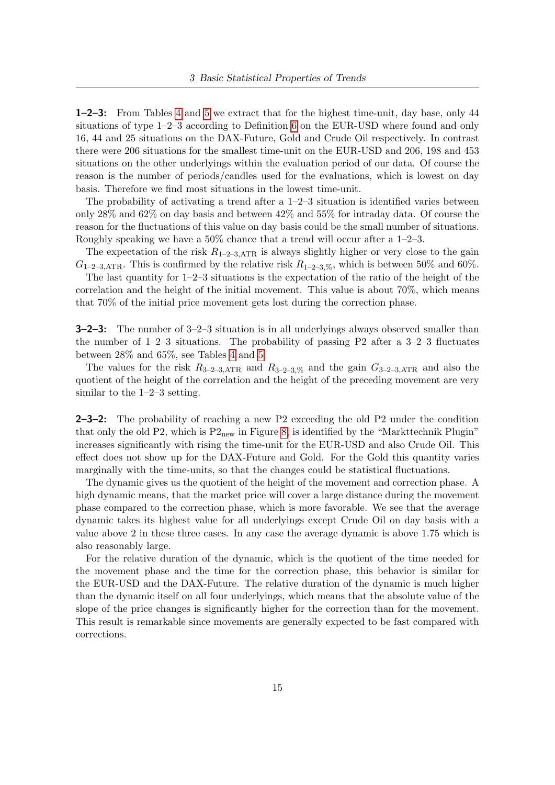1–2–3: From Tables [4](#page--1-35) and 5 we extract that for the highest time-unit, day base, only 44 situations of type 1–2–3 according to Definition [6](#page--1-31) on the EUR-USD where found and only 16, 44 and 25 situations on the DAX-Future, Gold and Crude Oil respectively. In contrast there were 206 situations for the smallest time-unit on the EUR-USD and 206, 198 and 453 situations on the other underlyings within the evaluation period of our data. Of course the reason is the number of periods/candles used for the evaluations, which is lowest on day basis. Therefore we find most situations in the lowest time-unit.

The probability of activating a trend after a 1–2–3 situation is identified varies between only 28% and 62% on day basis and between 42% and 55% for intraday data. Of course the reason for the fluctuations of this value on day basis could be the small number of situations. Roughly speaking we have a 50% chance that a trend will occur after a 1–2–3.

The expectation of the risk  $R_{1-2-3,ATR}$  is always slightly higher or very close to the gain  $G_{1-2-3, \text{ATR}}$ . This is confirmed by the relative risk  $R_{1-2-3, \%}$ , which is between 50% and 60%.

The last quantity for 1–2–3 situations is the expectation of the ratio of the height of the correlation and the height of the initial movement. This value is about 70%, which means that 70% of the initial price movement gets lost during the correction phase.

3–2–3: The number of 3–2–3 situation is in all underlyings always observed smaller than the number of  $1-2-3$  situations. The probability of passing P2 after a  $3-2-3$  fluctuates between 28% and 65%, see Tables [4](#page--1-35) and 5.

The values for the risk  $R_{3-2-3,ATR}$  and  $R_{3-2-3,0}$  and the gain  $G_{3-2-3,ATR}$  and also the quotient of the height of the correlation and the height of the preceding movement are very similar to the 1–2–3 setting.

2–3–2: The probability of reaching a new P2 exceeding the old P2 under the condition that only the old P2, which is  $P2_{new}$  in Figure [8,](#page--1-30) is identified by the "Markttechnik Plugin" increases significantly with rising the time-unit for the EUR-USD and also Crude Oil. This effect does not show up for the DAX-Future and Gold. For the Gold this quantity varies marginally with the time-units, so that the changes could be statistical fluctuations.

The dynamic gives us the quotient of the height of the movement and correction phase. A high dynamic means, that the market price will cover a large distance during the movement phase compared to the correction phase, which is more favorable. We see that the average dynamic takes its highest value for all underlyings except Crude Oil on day basis with a value above 2 in these three cases. In any case the average dynamic is above 1.75 which is also reasonably large.

For the relative duration of the dynamic, which is the quotient of the time needed for the movement phase and the time for the correction phase, this behavior is similar for the EUR-USD and the DAX-Future. The relative duration of the dynamic is much higher than the dynamic itself on all four underlyings, which means that the absolute value of the slope of the price changes is significantly higher for the correction than for the movement. This result is remarkable since movements are generally expected to be fast compared with corrections.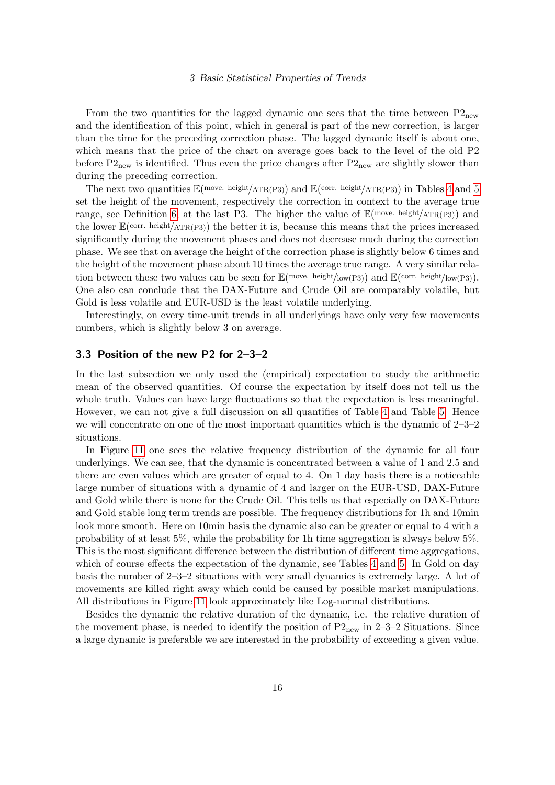From the two quantities for the lagged dynamic one sees that the time between  $P2_{new}$ and the identification of this point, which in general is part of the new correction, is larger than the time for the preceding correction phase. The lagged dynamic itself is about one, which means that the price of the chart on average goes back to the level of the old P2 before  $P2_{\text{new}}$  is identified. Thus even the price changes after  $P2_{\text{new}}$  are slightly slower than during the preceding correction.

The next two quantities  $\mathbb{E}(\text{move } \text{height}/\text{ATR}(P3))$  and  $\mathbb{E}(\text{corr } \text{height}/\text{ATR}(P3))$  in Tables [4](#page--1-35) and 5 set the height of the movement, respectively the correction in context to the average true range, see Definition [6,](#page--1-31) at the last P3. The higher the value of  $\mathbb{E}$ (move. height/ATR(P3)) and the lower  $\mathbb{E}(\text{corr. height/ATR}(P3))$  the better it is, because this means that the prices increased significantly during the movement phases and does not decrease much during the correction phase. We see that on average the height of the correction phase is slightly below 6 times and the height of the movement phase about 10 times the average true range. A very similar relation between these two values can be seen for  $\mathbb{E}(\text{move } \text{height}/\text{low}(P3))$  and  $\mathbb{E}(\text{corr } \text{. } \text{height}/\text{low}(P3))$ . One also can conclude that the DAX-Future and Crude Oil are comparably volatile, but Gold is less volatile and EUR-USD is the least volatile underlying.

Interestingly, on every time-unit trends in all underlyings have only very few movements numbers, which is slightly below 3 on average.

#### 3.3 Position of the new P2 for 2–3–2

In the last subsection we only used the (empirical) expectation to study the arithmetic mean of the observed quantities. Of course the expectation by itself does not tell us the whole truth. Values can have large fluctuations so that the expectation is less meaningful. However, we can not give a full discussion on all quantifies of Table [4](#page--1-35) and Table 5. Hence we will concentrate on one of the most important quantities which is the dynamic of 2–3–2 situations.

In Figure [11](#page--1-35) one sees the relative frequency distribution of the dynamic for all four underlyings. We can see, that the dynamic is concentrated between a value of 1 and 2.5 and there are even values which are greater of equal to 4. On 1 day basis there is a noticeable large number of situations with a dynamic of 4 and larger on the EUR-USD, DAX-Future and Gold while there is none for the Crude Oil. This tells us that especially on DAX-Future and Gold stable long term trends are possible. The frequency distributions for 1h and 10min look more smooth. Here on 10min basis the dynamic also can be greater or equal to 4 with a probability of at least 5%, while the probability for 1h time aggregation is always below 5%. This is the most significant difference between the distribution of different time aggregations, which of course effects the expectation of the dynamic, see Tables [4](#page--1-35) and 5. In Gold on day basis the number of 2–3–2 situations with very small dynamics is extremely large. A lot of movements are killed right away which could be caused by possible market manipulations. All distributions in Figure [11](#page--1-35) look approximately like Log-normal distributions.

Besides the dynamic the relative duration of the dynamic, i.e. the relative duration of the movement phase, is needed to identify the position of  $P2_{\text{new}}$  in 2–3–2 Situations. Since a large dynamic is preferable we are interested in the probability of exceeding a given value.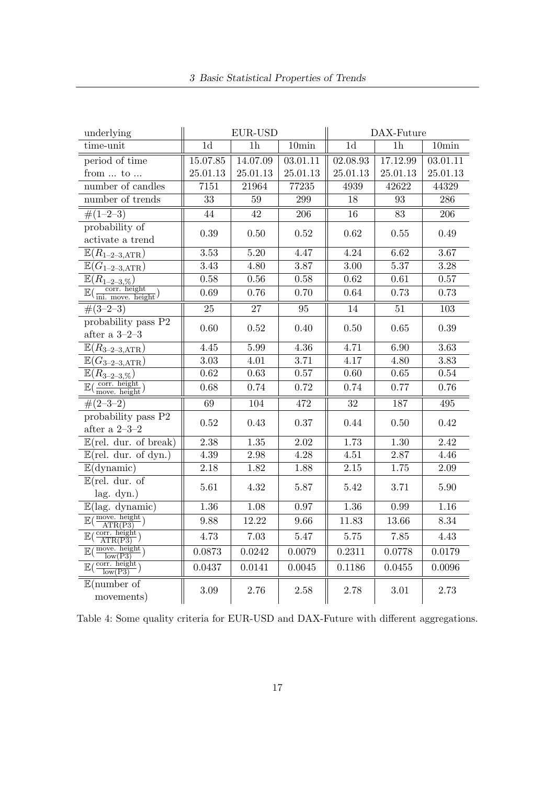| underlying                                                         | EUR-USD         |                 |                   | DAX-Future        |                 |                   |  |
|--------------------------------------------------------------------|-----------------|-----------------|-------------------|-------------------|-----------------|-------------------|--|
| time-unit                                                          | $\overline{1d}$ | $\overline{1}h$ | 10 <sub>min</sub> | 1 <sub>d</sub>    | $\overline{1h}$ | 10 <sub>min</sub> |  |
| period of time                                                     | 15.07.85        | 14.07.09        | 03.01.11          | 02.08.93          | 17.12.99        | 03.01.11          |  |
| from $\ldots$ to $\ldots$                                          | 25.01.13        | 25.01.13        | 25.01.13          | 25.01.13          | 25.01.13        | 25.01.13          |  |
| number of candles                                                  | 7151            | 21964           | 77235             | 4939              | 42622           | 44329             |  |
| number of trends                                                   | 33              | $59\,$          | 299               | 18                | 93              | 286               |  |
| $\#(1-2-3)$                                                        | 44              | 42              | 206               | 16                | 83              | 206               |  |
| probability of<br>activate a trend                                 | 0.39            | 0.50            | 0.52              | 0.62              | 0.55            | 0.49              |  |
| $\mathbb{E}(R_{1-2-3, \text{ATR}})$                                | 3.53            | 5.20            | 4.47              | $\overline{4.24}$ | 6.62            | 3.67              |  |
| $\mathbb{E}(G_{1-2-3,\mathrm{ATR}})$                               | 3.43            | 4.80            | 3.87              | 3.00              | 5.37            | $\overline{3.28}$ |  |
| $\mathbb{E}(R_{1-2-3,\%})$                                         | 0.58            | 0.56            | 0.58              | 0.62              | 0.61            | 0.57              |  |
| $\mathbb{E}(\frac{\text{corr. height}}{\text{ini. move. height}})$ | 0.69            | 0.76            | 0.70              | 0.64              | 0.73            | 0.73              |  |
| $\#(3-2-3)$                                                        | $\overline{25}$ | 27              | 95                | 14                | 51              | 103               |  |
| probability pass P2<br>after a $3-2-3$                             | 0.60            | 0.52            | 0.40              | 0.50              | 0.65            | 0.39              |  |
| $\mathbb{E}(R_{3-2-3, \text{ATR}})$                                | 4.45            | 5.99            | 4.36              | 4.71              | 6.90            | 3.63              |  |
| $\overline{\mathbb{E}(G_{3-2-3,\mathrm{ATR}})}$                    | 3.03            | 4.01            | 3.71              | 4.17              | 4.80            | $\overline{3.83}$ |  |
| $\overline{\mathbb{E}(R_{3-2-3,\%})}$                              | $\rm 0.62$      | 0.63            | $0.57\,$          | 0.60              | 0.65            | $0.54\,$          |  |
| $\mathbb{E}(\frac{\text{corr. height}}{\text{move. height}})$      | 0.68            | 0.74            | 0.72              | 0.74              | 0.77            | 0.76              |  |
| $\#(2-3-2)$                                                        | 69              | 104             | 472               | $\overline{32}$   | 187             | 495               |  |
| probability pass P2<br>after a $2-3-2$                             | $0.52\,$        | 0.43            | 0.37              | 0.44              | 0.50            | 0.42              |  |
| $\overline{\mathbb{E}(\text{rel. dur. of break})}$                 | 2.38            | 1.35            | $\overline{2.02}$ | 1.73              | 1.30            | 2.42              |  |
| $\mathbb{E}(\text{rel.} \text{dur.} \text{of } \text{dyn.})$       | 4.39            | 2.98            | 4.28              | 4.51              | 2.87            | 4.46              |  |
| $\mathbb{E}$ (dynamic)                                             | 2.18            | 1.82            | 1.88              | $2.15\,$          | 1.75            | $2.09\,$          |  |
| $\mathbb{E}(\text{rel.} \text{ dur.} \text{ of})$<br>lag. dyn.)    | 5.61            | 4.32            | 5.87              | 5.42              | 3.71            | 5.90              |  |
| $\mathbb{E}$ (lag. dynamic)                                        | 1.36            | 1.08            | 0.97              | 1.36              | 0.99            | 1.16              |  |
| $\mathbb{E}(\frac{\text{move. height}}{\text{ATR(P3)}})$           | 9.88            | 12.22           | 9.66              | 11.83             | 13.66           | 8.34              |  |
| $\mathbb{E}(\frac{\text{corr. height}}{\text{ATR(P3)}})$           | 4.73            | 7.03            | 5.47              | $5.75\,$          | 7.85            | 4.43              |  |
| $\mathbb{E}(\frac{\text{move. height}}{\sqrt{R}})$<br>low(P3)      | 0.0873          | 0.0242          | 0.0079            | 0.2311            | 0.0778          | 0.0179            |  |
| $\mathbb{E}(\frac{\text{corr. height}}{\text{low}(P3)})$           | 0.0437          | 0.0141          | 0.0045            | 0.1186            | 0.0455          | 0.0096            |  |
| $\mathbb{E}$ (number of<br>movements)                              | 3.09            | 2.76            | $2.58\,$          | 2.78              | 3.01            | 2.73              |  |

Table 4: Some quality criteria for EUR-USD and DAX-Future with different aggregations.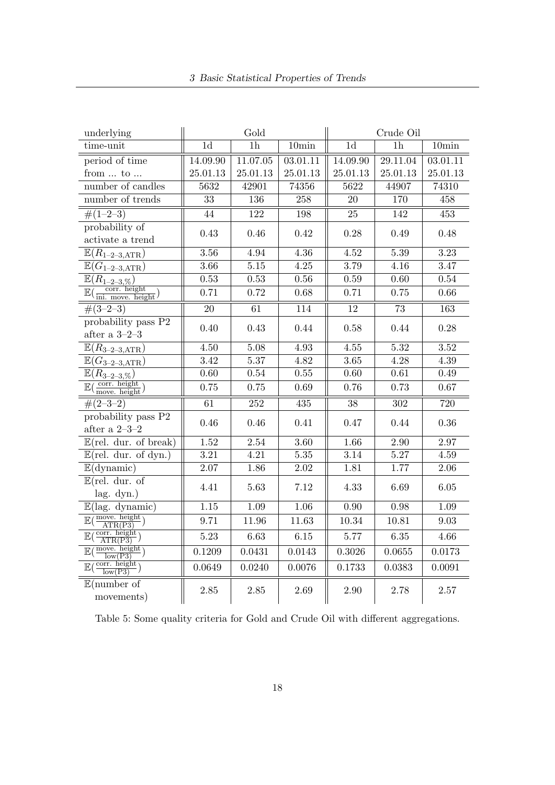| underlying                                                         |                   | Gold              |                   |                   | Crude Oil         |                   |  |
|--------------------------------------------------------------------|-------------------|-------------------|-------------------|-------------------|-------------------|-------------------|--|
| time-unit                                                          | 1 <sub>d</sub>    | $\overline{1h}$   | 10min             | 1 <sub>d</sub>    | $\overline{1h}$   | 10 <sub>min</sub> |  |
| period of time                                                     | 14.09.90          | 11.07.05          | 03.01.11          | 14.09.90          | 29.11.04          | 03.01.11          |  |
| from $\ldots$ to $\ldots$                                          | 25.01.13          | 25.01.13          | 25.01.13          | 25.01.13          | 25.01.13          | 25.01.13          |  |
| number of candles                                                  | 5632              | 42901             | 74356             | 5622              | 44907             | 74310             |  |
| number of trends                                                   | 33                | 136               | 258               | $20\,$            | 170               | 458               |  |
| $\#(1-2-3)$                                                        | 44                | 122               | 198               | 25                | 142               | 453               |  |
| probability of<br>activate a trend                                 | 0.43              | 0.46              | 0.42              | 0.28              | 0.49              | 0.48              |  |
| $\mathbb{E}(R_{1-2-3, \text{ATR}})$                                | 3.56              | 4.94              | 4.36              | $\overline{4.52}$ | 5.39              | 3.23              |  |
| $\mathbb{E}(G_{1-2-3,\mathrm{ATR}})$                               | 3.66              | $\overline{5.15}$ | 4.25              | 3.79              | 4.16              | 3.47              |  |
| $\mathbb{E}(R_{1-2-3,\%})$                                         | 0.53              | 0.53              | 0.56              | 0.59              | 0.60              | 0.54              |  |
| $\mathbb{E}(\frac{\text{corr. height}}{\text{ini. move. height}})$ | 0.71              | 0.72              | 0.68              | 0.71              | 0.75              | 0.66              |  |
| $\#(3-2-3)$                                                        | $\overline{20}$   | 61                | 114               | 12                | 73                | $\overline{163}$  |  |
| probability pass P2<br>after a 3–2–3 $\,$                          | 0.40              | 0.43              | 0.44              | 0.58              | 0.44              | 0.28              |  |
| $\mathbb{E}(R_{3-2-3, \mathrm{ATR}})$                              | 4.50              | 5.08              | 4.93              | 4.55              | 5.32              | 3.52              |  |
| $\mathbb{E}(G_{3-2-3,\mathrm{ATR}})$                               | $\overline{3.42}$ | 5.37              | 4.82              | 3.65              | $\overline{4.28}$ | 4.39              |  |
| $\overline{\mathbb{E}}(R_{3-2-3,\%})$                              | 0.60              | $0.54\,$          | 0.55              | $0.60\,$          | $0.61\,$          | $0.49\,$          |  |
| $\mathbb{E}(\frac{\text{corr. height}}{\text{move. height}})$      | 0.75              | 0.75              | 0.69              | 0.76              | 0.73              | 0.67              |  |
| $\#(2-3-2)$                                                        | 61                | 252               | 435               | 38                | 302               | 720               |  |
| probability pass P2<br>after a $2-3-2$                             | 0.46              | 0.46              | 0.41              | 0.47              | 0.44              | $0.36\,$          |  |
| $\overline{\mathbb{E}(\text{rel. dur. of break})}$                 | $\overline{1.52}$ | 2.54              | $\overline{3.60}$ | 1.66              | $\overline{2.90}$ | 2.97              |  |
| $\mathbb{E}(\text{rel.} \text{dur.} \text{of } \text{dyn.})$       | 3.21              | 4.21              | 5.35              | 3.14              | 5.27              | 4.59              |  |
| $\mathbb{E}$ (dynamic)                                             | 2.07              | 1.86              | 2.02              | 1.81              | 1.77              | $2.06\,$          |  |
| $\mathbb{E}(\text{rel.} \text{ dur.} \text{ of})$<br>lag. dyn.)    | 4.41              | 5.63              | 7.12              | 4.33              | 6.69              | 6.05              |  |
| $\overline{\mathbb{E}(\text{lag. dynamic})}$                       | $\overline{1.15}$ | $\overline{1.09}$ | 1.06              | 0.90              | 0.98              | 1.09              |  |
| $\mathbb{E}(\frac{\text{move. height}}{\text{ATR(P3)}})$           | 9.71              | 11.96             | 11.63             | 10.34             | 10.81             | 9.03              |  |
| $\mathbb{E}(\frac{\text{corr. height}}{\text{ATR(P3)}})$           | 5.23              | 6.63              | 6.15              | 5.77              | 6.35              | 4.66              |  |
| $\mathbb{E}(\frac{\text{move. height}}{\sqrt{2\pi}})$<br>low(P3)   | 0.1209            | 0.0431            | 0.0143            | 0.3026            | 0.0655            | 0.0173            |  |
| $\mathbb{E}(\frac{\text{corr. height}}{\text{low}(P3)})$           | 0.0649            | 0.0240            | 0.0076            | 0.1733            | 0.0383            | 0.0091            |  |
| $\mathbb{E}$ (number of<br>movements)                              | 2.85              | 2.85              | 2.69              | 2.90              | 2.78              | 2.57              |  |

Table 5: Some quality criteria for Gold and Crude Oil with different aggregations.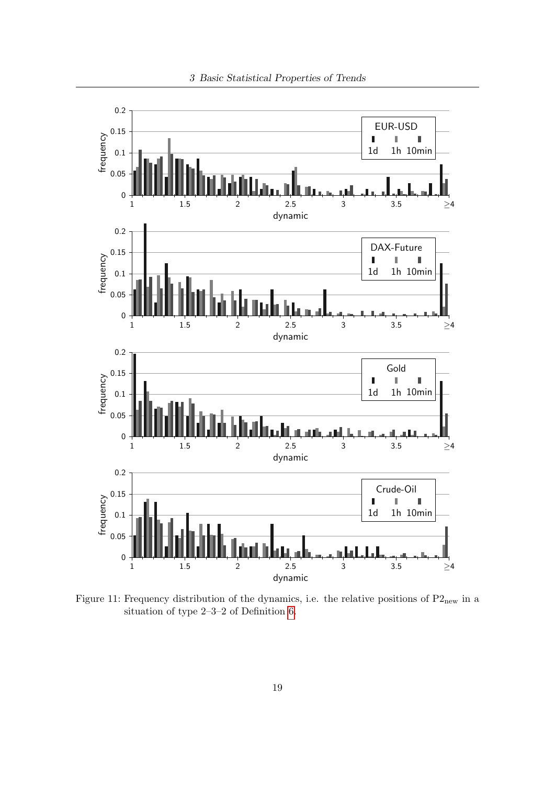

Figure 11: Frequency distribution of the dynamics, i.e. the relative positions of  $P2<sub>new</sub>$  in a situation of type 2–3–2 of Definition [6.](#page--1-31)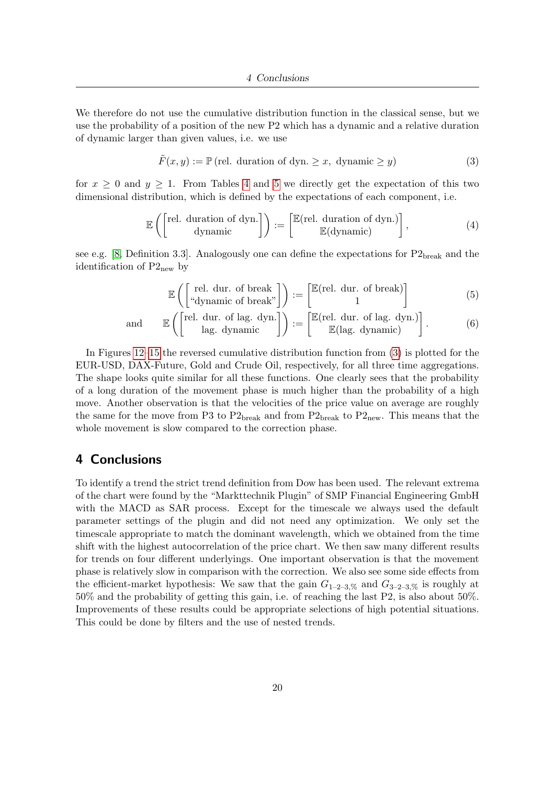We therefore do not use the cumulative distribution function in the classical sense, but we use the probability of a position of the new P2 which has a dynamic and a relative duration of dynamic larger than given values, i.e. we use

$$
\tilde{F}(x, y) := \mathbb{P}(\text{rel. duration of dyn.} \ge x, \text{ dynamic } \ge y)
$$
\n(3)

for  $x \geq 0$  and  $y \geq 1$ . From Tables [4](#page--1-35) and 5 we directly get the expectation of this two dimensional distribution, which is defined by the expectations of each component, i.e.

$$
\mathbb{E}\left(\begin{bmatrix} \text{rel. duration of dyn.} \\ \text{dynamic} \end{bmatrix}\right) := \begin{bmatrix} \mathbb{E}(\text{rel. duration of dyn.}) \\ \mathbb{E}(\text{dynamic}) \end{bmatrix},\tag{4}
$$

see e.g. [\[8,](#page--1-36) Definition 3.3]. Analogously one can define the expectations for  $P2_{break}$  and the identification of  $P2_{\text{new}}$  by

$$
\mathbb{E}\left(\begin{bmatrix} \text{rel. dur. of break} \\ \text{``dynamic of break''} \end{bmatrix}\right) := \begin{bmatrix} \mathbb{E}(\text{rel. dur. of break}) \\ 1 \end{bmatrix}
$$
(5)

and 
$$
\mathbb{E}\left(\begin{bmatrix} \text{rel. dur. of lag. dyn.} \\ \text{lag. dynamic} \end{bmatrix}\right) := \begin{bmatrix} \mathbb{E}(\text{rel. dur. of lag. dyn.}) \\ \mathbb{E}(\text{lag. dynamic}) \end{bmatrix}.
$$
 (6)

In Figures [12–](#page--1-35)15 the reversed cumulative distribution function from [\(3\)](#page--1-37) is plotted for the EUR-USD, DAX-Future, Gold and Crude Oil, respectively, for all three time aggregations. The shape looks quite similar for all these functions. One clearly sees that the probability of a long duration of the movement phase is much higher than the probability of a high move. Another observation is that the velocities of the price value on average are roughly the same for the move from P3 to  $P2_{break}$  and from  $P2_{break}$  to  $P2_{new}$ . This means that the whole movement is slow compared to the correction phase.

## 4 Conclusions

To identify a trend the strict trend definition from Dow has been used. The relevant extrema of the chart were found by the "Markttechnik Plugin" of SMP Financial Engineering GmbH with the MACD as SAR process. Except for the timescale we always used the default parameter settings of the plugin and did not need any optimization. We only set the timescale appropriate to match the dominant wavelength, which we obtained from the time shift with the highest autocorrelation of the price chart. We then saw many different results for trends on four different underlyings. One important observation is that the movement phase is relatively slow in comparison with the correction. We also see some side effects from the efficient-market hypothesis: We saw that the gain  $G_{1-2-3, \%}$  and  $G_{3-2-3, \%}$  is roughly at 50% and the probability of getting this gain, i.e. of reaching the last P2, is also about 50%. Improvements of these results could be appropriate selections of high potential situations. This could be done by filters and the use of nested trends.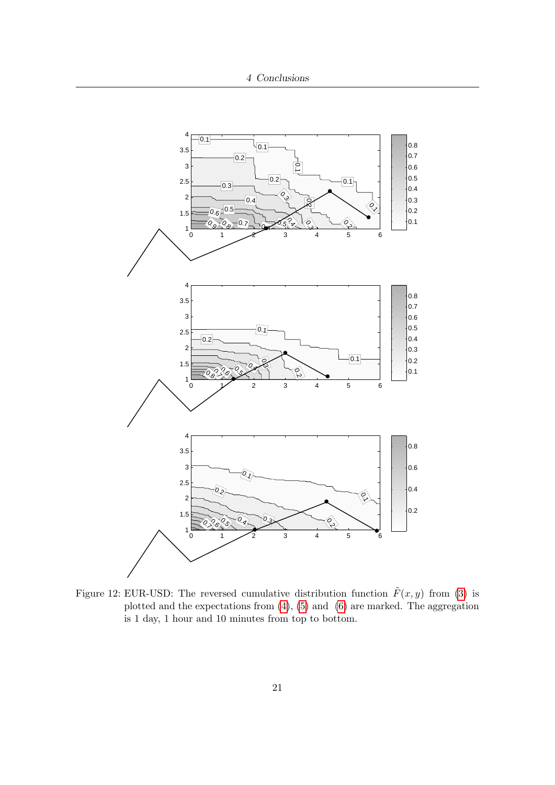

Figure 12: EUR-USD: The reversed cumulative distribution function  $\tilde{F}(x, y)$  from [\(3\)](#page--1-37) is plotted and the expectations from  $(4)$ ,  $(5)$  and  $(6)$  are marked. The aggregation is 1 day, 1 hour and 10 minutes from top to bottom.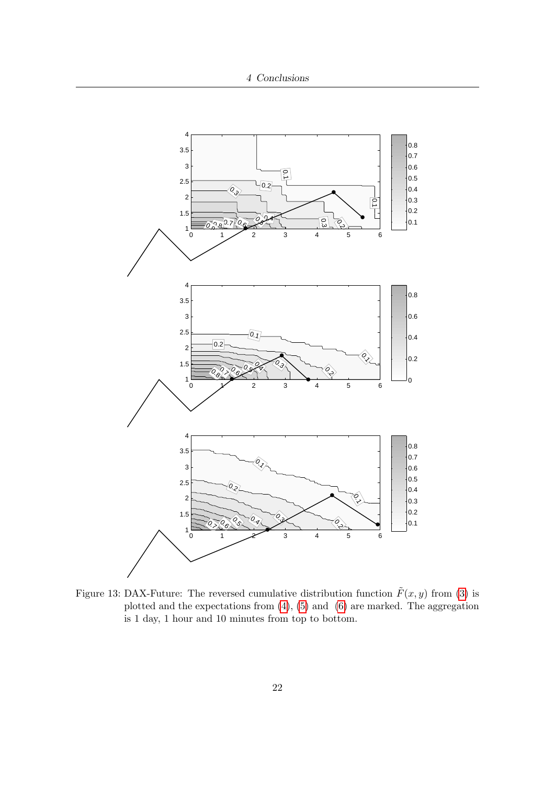

Figure 13: DAX-Future: The reversed cumulative distribution function  $\tilde{F}(x, y)$  from [\(3\)](#page--1-37) is plotted and the expectations from  $(4)$ ,  $(5)$  and  $(6)$  are marked. The aggregation is 1 day, 1 hour and 10 minutes from top to bottom.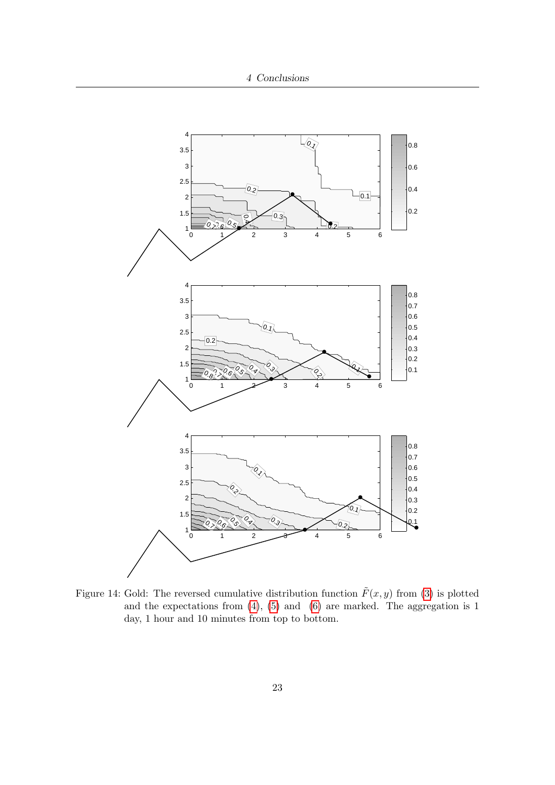

Figure 14: Gold: The reversed cumulative distribution function  $\tilde{F}(x, y)$  from [\(3\)](#page--1-37) is plotted and the expectations from  $(4)$ ,  $(5)$  and  $(6)$  are marked. The aggregation is 1 day, 1 hour and 10 minutes from top to bottom.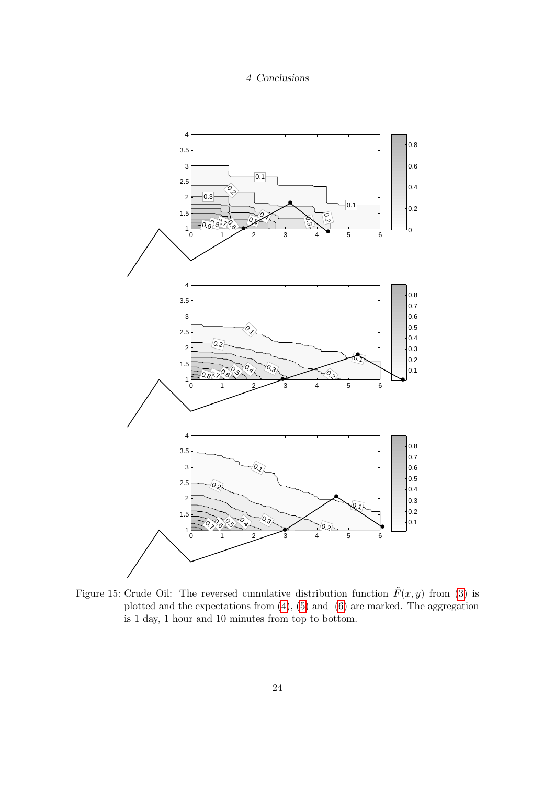

Figure 15: Crude Oil: The reversed cumulative distribution function  $\tilde{F}(x, y)$  from [\(3\)](#page--1-37) is plotted and the expectations from  $(4)$ ,  $(5)$  and  $(6)$  are marked. The aggregation is 1 day, 1 hour and 10 minutes from top to bottom.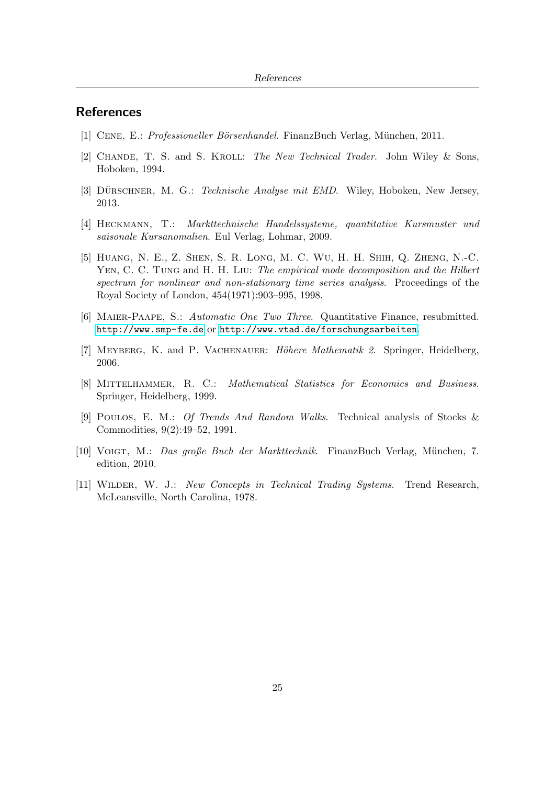## **References**

- [1] CENE, E.: *Professioneller Börsenhandel*. FinanzBuch Verlag, München, 2011.
- [2] CHANDE, T. S. and S. KROLL: The New Technical Trader. John Wiley & Sons, Hoboken, 1994.
- [3] DÜRSCHNER, M. G.: Technische Analyse mit EMD. Wiley, Hoboken, New Jersey, 2013.
- [4] Heckmann, T.: Markttechnische Handelssysteme, quantitative Kursmuster und saisonale Kursanomalien. Eul Verlag, Lohmar, 2009.
- [5] Huang, N. E., Z. Shen, S. R. Long, M. C. Wu, H. H. Shih, Q. Zheng, N.-C. YEN, C. C. TUNG and H. H. LIU: The empirical mode decomposition and the Hilbert spectrum for nonlinear and non-stationary time series analysis. Proceedings of the Royal Society of London, 454(1971):903–995, 1998.
- [6] Maier-Paape, S.: Automatic One Two Three. Quantitative Finance, resubmitted. <http://www.smp-fe.de> or <http://www.vtad.de/forschungsarbeiten>.
- [7] MEYBERG, K. and P. VACHENAUER: Höhere Mathematik 2. Springer, Heidelberg, 2006.
- [8] Mittelhammer, R. C.: Mathematical Statistics for Economics and Business. Springer, Heidelberg, 1999.
- [9] Poulos, E. M.: Of Trends And Random Walks. Technical analysis of Stocks & Commodities, 9(2):49–52, 1991.
- [10] Voigt, M.: Das große Buch der Markttechnik. FinanzBuch Verlag, M¨unchen, 7. edition, 2010.
- [11] Wilder, W. J.: New Concepts in Technical Trading Systems. Trend Research, McLeansville, North Carolina, 1978.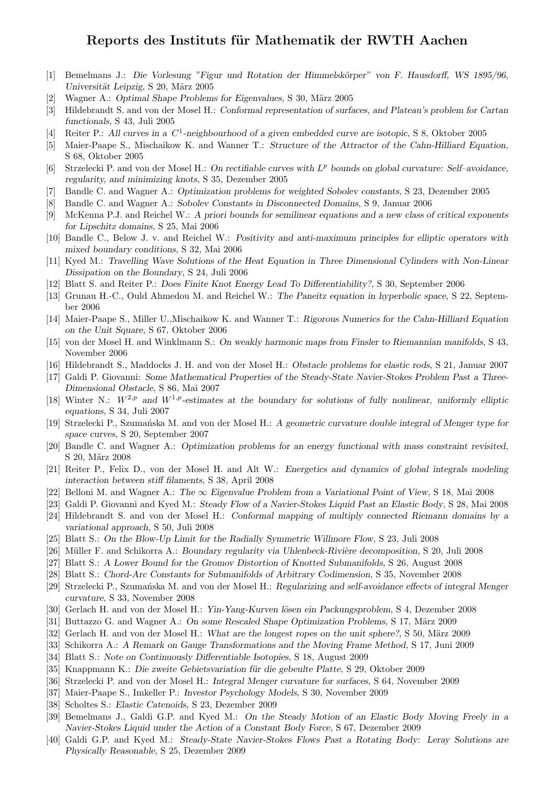## Reports des Instituts für Mathematik der RWTH Aachen

- [1] Bemelmans J.: Die Vorlesung "Figur und Rotation der Himmelskörper" von F. Hausdorff, WS 1895/96, Universität Leipzig, S 20, März 2005
- [2] Wagner A.: *Optimal Shape Problems for Eigenvalues*, S 30, März 2005
- [3] Hildebrandt S. and von der Mosel H.: Conformal representation of surfaces, and Plateau's problem for Cartan functionals, S 43, Juli 2005
- [4] Reiter P.: All curves in a C<sup>1</sup>-neighbourhood of a given embedded curve are isotopic, S 8, Oktober 2005
- [5] Maier-Paape S., Mischaikow K. and Wanner T.: Structure of the Attractor of the Cahn-Hilliard Equation, S 68, Oktober 2005
- [6] Strzelecki P. and von der Mosel H.: On rectifiable curves with  $L^p$  bounds on global curvature: Self-avoidance, regularity, and minimizing knots, S 35, Dezember 2005
- [7] Bandle C. and Wagner A.: Optimization problems for weighted Sobolev constants, S 23, Dezember 2005
- [8] Bandle C. and Wagner A.: Sobolev Constants in Disconnected Domains, S 9, Januar 2006
- [9] McKenna P.J. and Reichel W.: A priori bounds for semilinear equations and a new class of critical exponents for Lipschitz domains, S 25, Mai 2006
- [10] Bandle C., Below J. v. and Reichel W.: Positivity and anti-maximum principles for elliptic operators with mixed boundary conditions, S 32, Mai 2006
- [11] Kyed M.: Travelling Wave Solutions of the Heat Equation in Three Dimensional Cylinders with Non-Linear Dissipation on the Boundary, S 24, Juli 2006
- [12] Blatt S. and Reiter P.: Does Finite Knot Energy Lead To Differentiability?, S 30, September 2006
- [13] Grunau H.-C., Ould Ahmedou M. and Reichel W.: The Paneitz equation in hyperbolic space, S 22, September 2006
- [14] Maier-Paape S., Miller U.,Mischaikow K. and Wanner T.: Rigorous Numerics for the Cahn-Hilliard Equation on the Unit Square, S 67, Oktober 2006
- [15] von der Mosel H. and Winklmann S.: On weakly harmonic maps from Finsler to Riemannian manifolds, S 43, November 2006
- [16] Hildebrandt S., Maddocks J. H. and von der Mosel H.: Obstacle problems for elastic rods, S 21, Januar 2007
- [17] Galdi P. Giovanni: Some Mathematical Properties of the Steady-State Navier-Stokes Problem Past a Three-Dimensional Obstacle, S 86, Mai 2007
- [18] Winter N.:  $W^{2,p}$  and  $W^{1,p}$ -estimates at the boundary for solutions of fully nonlinear, uniformly elliptic equations, S 34, Juli 2007
- [19] Strzelecki P., Szumańska M. and von der Mosel H.: A geometric curvature double integral of Menger type for space curves, S 20, September 2007
- [20] Bandle C. and Wagner A.: Optimization problems for an energy functional with mass constraint revisited, S 20, März 2008
- [21] Reiter P., Felix D., von der Mosel H. and Alt W.: Energetics and dynamics of global integrals modeling interaction between stiff filaments, S 38, April 2008
- [22] Belloni M. and Wagner A.: The ∞ Eigenvalue Problem from a Variational Point of View, S 18, Mai 2008
- [23] Galdi P. Giovanni and Kyed M.: Steady Flow of a Navier-Stokes Liquid Past an Elastic Body, S 28, Mai 2008
- [24] Hildebrandt S. and von der Mosel H.: Conformal mapping of multiply connected Riemann domains by a variational approach, S 50, Juli 2008
- [25] Blatt S.: On the Blow-Up Limit for the Radially Symmetric Willmore Flow, S 23, Juli 2008
- [26] Müller F. and Schikorra A.: Boundary regularity via Uhlenbeck-Rivière decomposition, S 20, Juli 2008
- [27] Blatt S.: A Lower Bound for the Gromov Distortion of Knotted Submanifolds, S 26, August 2008
- [28] Blatt S.: Chord-Arc Constants for Submanifolds of Arbitrary Codimension, S 35, November 2008
- [29] Strzelecki P., Szumańska M. and von der Mosel H.: Regularizing and self-avoidance effects of integral Menger curvature, S 33, November 2008
- [30] Gerlach H. and von der Mosel H.: Yin-Yang-Kurven lösen ein Packungsproblem, S 4, Dezember 2008
- [31] Buttazzo G. and Wagner A.: On some Rescaled Shape Optimization Problems, S 17, März 2009
- [32] Gerlach H. and von der Mosel H.: What are the longest ropes on the unit sphere?, S 50, März 2009
- [33] Schikorra A.: A Remark on Gauge Transformations and the Moving Frame Method, S 17, Juni 2009
- [34] Blatt S.: Note on Continuously Differentiable Isotopies, S 18, August 2009
- [35] Knappmann K.: Die zweite Gebietsvariation für die gebeulte Platte, S 29, Oktober 2009
- [36] Strzelecki P. and von der Mosel H.: Integral Menger curvature for surfaces, S 64, November 2009
- [37] Maier-Paape S., Imkeller P.: Investor Psychology Models, S 30, November 2009
- [38] Scholtes S.: Elastic Catenoids, S 23, Dezember 2009
- [39] Bemelmans J., Galdi G.P. and Kyed M.: On the Steady Motion of an Elastic Body Moving Freely in a Navier-Stokes Liquid under the Action of a Constant Body Force, S 67, Dezember 2009
- [40] Galdi G.P. and Kyed M.: Steady-State Navier-Stokes Flows Past a Rotating Body: Leray Solutions are Physically Reasonable, S 25, Dezember 2009